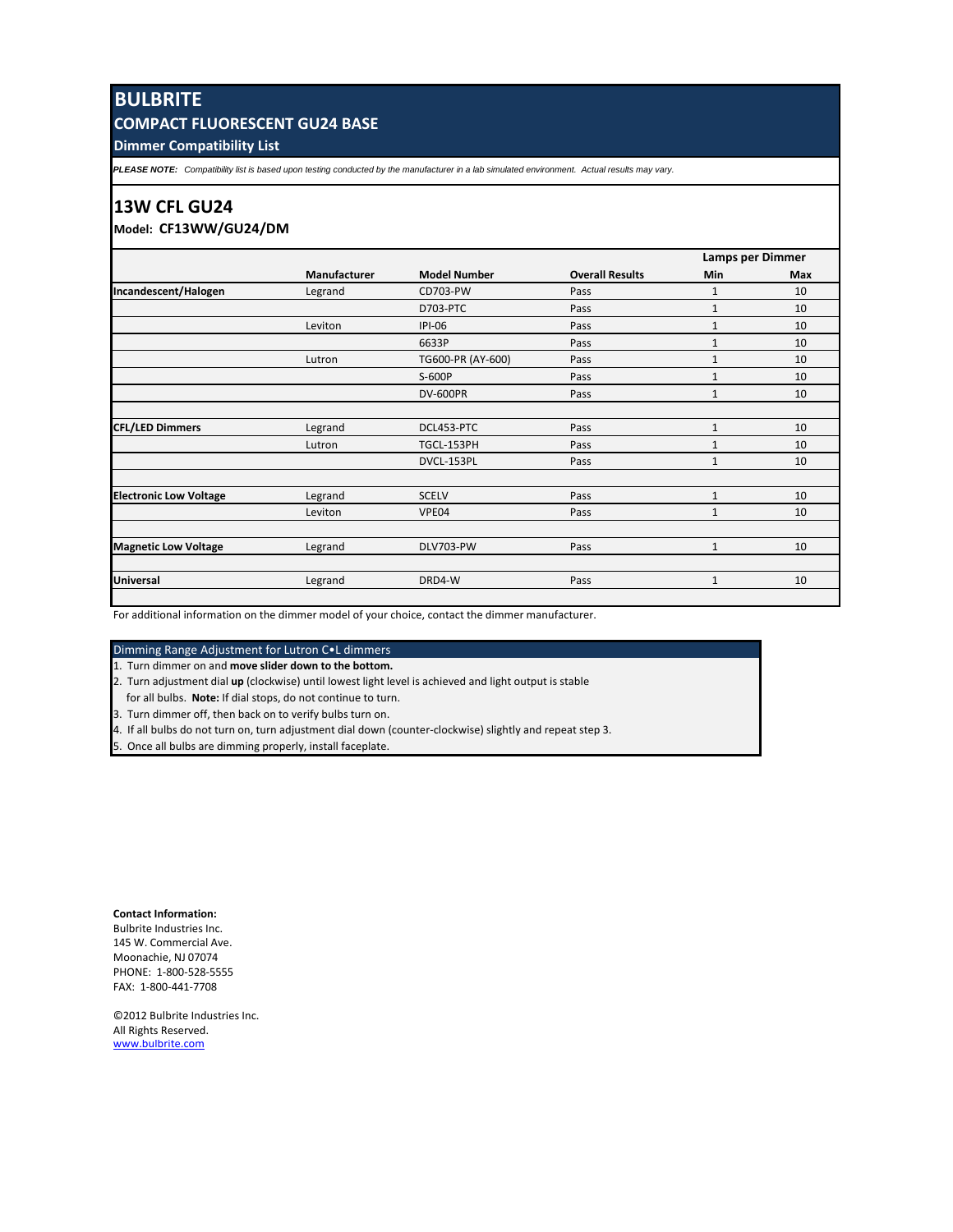# **BULBRITE**

## **COMPACT FLUORESCENT GU24 BASE**

**Dimmer Compatibility List**

*PLEASE NOTE: Compatibility list is based upon testing conducted by the manufacturer in a lab simulated environment. Actual results may vary.*

### **13W CFL GU24**

**Model: CF13WW/GU24/DM**

|                               | Manufacturer | <b>Model Number</b> | <b>Overall Results</b> | Lamps per Dimmer |     |
|-------------------------------|--------------|---------------------|------------------------|------------------|-----|
|                               |              |                     |                        | Min              | Max |
| Incandescent/Halogen          | Legrand      | CD703-PW            | Pass                   | 1                | 10  |
|                               |              | D703-PTC            | Pass                   | $\mathbf{1}$     | 10  |
|                               | Leviton      | $IPI-06$            | Pass                   | $\mathbf{1}$     | 10  |
|                               |              | 6633P               | Pass                   | 1                | 10  |
|                               | Lutron       | TG600-PR (AY-600)   | Pass                   | $\mathbf{1}$     | 10  |
|                               |              | S-600P              | Pass                   | $\mathbf{1}$     | 10  |
|                               |              | <b>DV-600PR</b>     | Pass                   | $\mathbf{1}$     | 10  |
| <b>CFL/LED Dimmers</b>        | Legrand      | DCL453-PTC          | Pass                   | $\mathbf{1}$     | 10  |
|                               |              |                     |                        |                  |     |
|                               | Lutron       | TGCL-153PH          | Pass                   | $\mathbf{1}$     | 10  |
|                               |              | DVCL-153PL          | Pass                   | $\mathbf{1}$     | 10  |
| <b>Electronic Low Voltage</b> | Legrand      | <b>SCELV</b>        | Pass                   | $\mathbf{1}$     | 10  |
|                               | Leviton      | VPE04               | Pass                   | $\mathbf{1}$     | 10  |
|                               |              |                     |                        |                  |     |
| <b>Magnetic Low Voltage</b>   | Legrand      | DLV703-PW           | Pass                   | $\mathbf{1}$     | 10  |
| <b>Universal</b>              | Legrand      | DRD4-W              | Pass                   | $\mathbf{1}$     | 10  |
|                               |              |                     |                        |                  |     |

For additional information on the dimmer model of your choice, contact the dimmer manufacturer.

Dimming Range Adjustment for Lutron C•L dimmers

1. Turn dimmer on and **move slider down to the bottom.**

2. Turn adjustment dial **up** (clockwise) until lowest light level is achieved and light output is stable

for all bulbs. **Note:** If dial stops, do not continue to turn.

3. Turn dimmer off, then back on to verify bulbs turn on.

4. If all bulbs do not turn on, turn adjustment dial down (counter-clockwise) slightly and repeat step 3.

5. Once all bulbs are dimming properly, install faceplate.

**Contact Information:** Bulbrite Industries Inc. 145 W. Commercial Ave. Moonachie, NJ 07074 PHONE: 1-800-528-5555 FAX: 1-800-441-7708

©2012 Bulbrite Industries Inc. All Rights Reserved. [www.bulbrite.com](http://www.bulbrite.com/LED)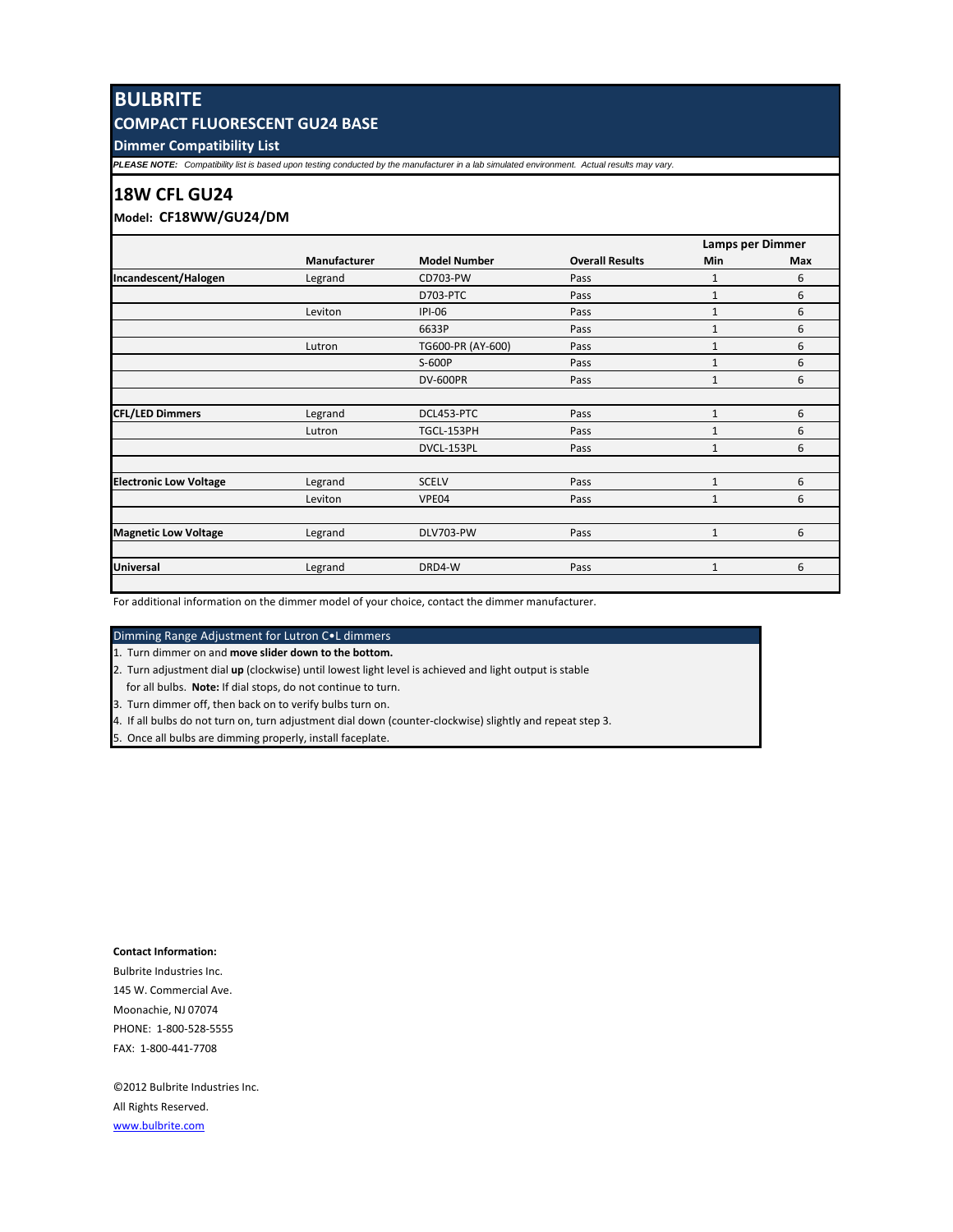# **BULBRITE**

# **COMPACT FLUORESCENT GU24 BASE**

**Dimmer Compatibility List**

*PLEASE NOTE: Compatibility list is based upon testing conducted by the manufacturer in a lab simulated environment. Actual results may vary.*

### **18W CFL GU24**

## **Model: CF18WW/GU24/DM**

| Manufacturer | <b>Model Number</b> | <b>Overall Results</b> | Lamps per Dimmer |     |
|--------------|---------------------|------------------------|------------------|-----|
|              |                     |                        | Min              | Max |
| Legrand      | CD703-PW            | Pass                   | $\mathbf{1}$     | 6   |
|              | D703-PTC            | Pass                   | $\mathbf{1}$     | 6   |
| Leviton      | $IPI-06$            | Pass                   | $\mathbf{1}$     | 6   |
|              | 6633P               | Pass                   | $\mathbf{1}$     | 6   |
| Lutron       | TG600-PR (AY-600)   | Pass                   | $\mathbf{1}$     | 6   |
|              | S-600P              | Pass                   | $\mathbf{1}$     | 6   |
|              | <b>DV-600PR</b>     | Pass                   | $\mathbf{1}$     | 6   |
|              |                     |                        |                  |     |
| Legrand      | DCL453-PTC          | Pass                   | $\mathbf{1}$     | 6   |
| Lutron       | TGCL-153PH          | Pass                   | $\mathbf{1}$     | 6   |
|              | DVCL-153PL          | Pass                   | $\mathbf{1}$     | 6   |
|              | <b>SCELV</b>        | Pass                   | 1                | 6   |
| Leviton      | VPE04               | Pass                   | $\mathbf{1}$     | 6   |
|              |                     |                        |                  |     |
| Legrand      |                     |                        | $\mathbf{1}$     | 6   |
| Legrand      | DRD4-W              | Pass                   | $\mathbf{1}$     | 6   |
|              | Legrand             | DLV703-PW              | Pass             |     |

For additional information on the dimmer model of your choice, contact the dimmer manufacturer.

#### Dimming Range Adjustment for Lutron C•L dimmers

1. Turn dimmer on and **move slider down to the bottom.**

2. Turn adjustment dial **up** (clockwise) until lowest light level is achieved and light output is stable

for all bulbs. **Note:** If dial stops, do not continue to turn.

3. Turn dimmer off, then back on to verify bulbs turn on.

4. If all bulbs do not turn on, turn adjustment dial down (counter-clockwise) slightly and repeat step 3.

5. Once all bulbs are dimming properly, install faceplate.

#### **Contact Information:**

Bulbrite Industries Inc. 145 W. Commercial Ave. Moonachie, NJ 07074 PHONE: 1-800-528-5555 FAX: 1-800-441-7708

©2012 Bulbrite Industries Inc. All Rights Reserved. [www.bulbrite.com](http://www.bulbrite.com/LED)